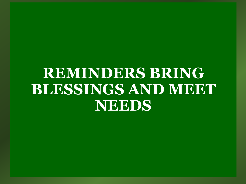#### **REMINDERS BRING BLESSINGS AND MEET NEEDS**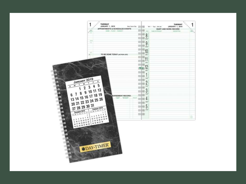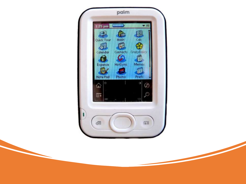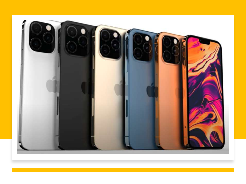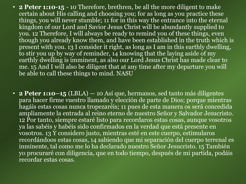- **2 Peter 1:10-15**  10 Therefore, brethren, be all the more diligent to make certain about His calling and choosing you; for as long as you practice these things, you will never stumble; 11 for in this way the entrance into the eternal kingdom of our Lord and Savior Jesus Christ will be abundantly supplied to you. 12 Therefore, I will always be ready to remind you of these things, even though you already know them, and have been established in the truth which is present with you. 13 I consider it right, as long as I am in this earthly dwelling, to stir you up by way of reminder, 14 knowing that the laying aside of my earthly dwelling is imminent, as also our Lord Jesus Christ has made clear to me. 15 And I will also be diligent that at any time after my departure you will be able to call these things to mind. NASU
- **2 Peter 1:10–15** (LBLA) 10 Así que, hermanos, sed tanto más diligentes para hacer firme vuestro llamado y elección de parte de Dios; porque mientras hagáis estas cosas nunca tropezaréis; 11 pues de esta manera os será concedida ampliamente la entrada al reino eterno de nuestro Señor y Salvador Jesucristo. 12 Por tanto, siempre estaré listo para recordaros estas cosas, aunque vosotros ya las sabéis y habéis sido confirmados en la verdad que está presente en vosotros. 13 Y considero justo, mientras esté en este cuerpo, estimularos recordándoos estas cosas, 14 sabiendo que mi separación del cuerpo terrenal es inminente, tal como me lo ha declarado nuestro Señor Jesucristo. 15 También yo procuraré con diligencia, que en todo tiempo, después de mi partida, podáis recordar estas cosas.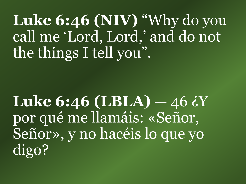**Luke 6:46 (NIV)** "Why do you call me 'Lord, Lord,' and do not the things I tell you".

**Luke 6:46 (LBLA)** — 46 ¿Y por qué me llamáis: «Señor, Señor», y no hacéis lo que yo digo?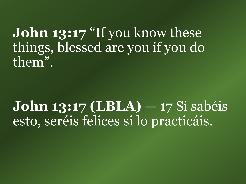**John 13:17** "If you know these things, blessed are you if you do them".

#### **John 13:17 (LBLA)** — 17 Si sabéis esto, seréis felices si lo practicáis.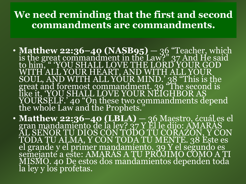#### **We need reminding that the first and second commandments are commandments.**

- **Matthew 22:36–40 (NASB95)**  36 "Teacher, which is the great commandment in the Law?" 37 And He said to him, " 'YOU SHALL LOVE THE LORD YOUR GOD WITH ALL YOUR HEART, AND WITH ALL YOUR SOUL, AND WITH ALL YOUR MIND.' 38 "This is the great and foremost commandment. 39 "The second is like it, 'YOU SHALL LOVE YOUR NEIGHBOR AS YOURSELF.' 40 "On these two commandments depend the whole Law and the Prophets."
- **Matthew 22:36–40 (LBLA)**  36 Maestro, ¿cuál es el gran mandamiento de la ley? 37 Y Él le dijo: AMARÁS<br>AL SEÑOR TU DIOS CON TODO TU CORAZÓN, Y CON TODA TU ALMA, Y CON TODA TU MENTE. 38 Este es el grande y el primer mandamiento. 39 Y el segundo es semejante a este: AMARÁS A TU PRÓJIMO COMO A TI MISMO. 40 De estos dos mandamientos dependen toda la ley y los profetas.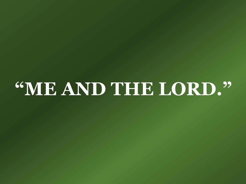# **"ME AND THE LORD."**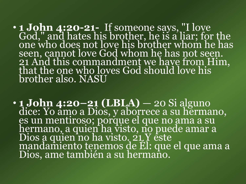- **1 John 4:20-21-** If someone says, "I love God," and hates his brother, he is a liar; for the one who does not love his brother whom he has seen, cannot love God whom he has not seen. 21 And this commandment we have from Him, that the one who loves God should love his brother also. NASU
- **1 John 4:20–21 (LBLA)**  20 Si alguno dice: Yo amo a Dios, y aborrece a su hermano, es un mentiroso; porque el que no ama a su hermano, a quien ha visto, no puede amar a Dios a quien no ha visto. 21Y este mandamiento tenemos de Él: que el que ama a Dios, ame también a su hermaño.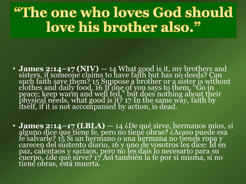#### "The one who loves God should love his brother also."

- **James 2:14–17 (NIV)** 14 What good is it, my brothers and sisters, if someone claims to have faith but has no deeds? Can such faith save them? 15 Suppose a brother or a sister is without clothes and daily food. 16 If one of you says to them, "Go in peace; keep warm and well fed," but does nothing about their physical needs, what good is it? 17 In the same way, faith by itself, if it is not accompanied by action, is dead.
- **James 2:14–17 (LBLA)**  14 ¿De qué sirve, hermanos míos, si alguno dice que tiene fe, pero no tiene obras? ¿Acaso puede esa fe salvarle? 15 Si un hermano o una hermana no tienen ropa y carecen del sustento diario, 16 y uno de vosotros les dice: Id én paz, calentaos y saciaos, pero no les dais lo necesario para su cuerpo, ¿de qué sirve? 17 Así también la fe por sí misma, si no tiene obras, está muerta.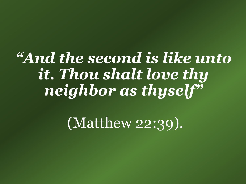*"And the second is like unto it. Thou shalt love thy neighbor as thyself"*

(Matthew 22:39).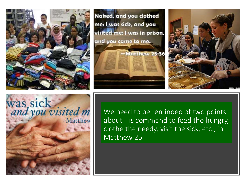

Naked, and you clothed me: I was sick, and you visited me: I was in prison, and you came to me.

-Matthew 25:36





We need to be reminded of two points about His command to feed the hungry, clothe the needy, visit the sick, etc., in Matthew 25.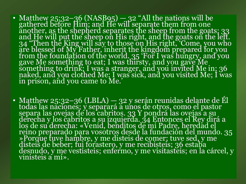- Matthew  $25:32-36$  (NASB95)  $-32$  "All the nations will be gathered before Him; and He will separate them from one another, as the shepherd separates the sheep from the goats;  $33$ and He will put the sheep on His right, and the goats on the left. 34 "Then the King will say to those on His right, 'Come, you who are blessed of My Father, inherit the kingdom prepared for you from the foundation of the world. 35 'For I was hungry, and you gave Me something to eat; I was thirsty, and you gave Me something to drink; I was a stranger, and you invited Me in; 36  $\,$ naked, and you clothed Me; I was sick, and you visited Me; I was in prison, and you came to Me.'
- Matthew 25:32–36 (LBLA) 32 y serán reunidas delante de Él todas las naciones; y separará a unos de otros, como el pastor separa las ovejas de los cabritos. 33 Y pondrá las ovejas a su derecha y los cabritos a su izquierda. 34 Entonces el Rey dirá a los de su derecha: «Venid, benditos de mi Padre, heredad el reino preparado para vosotros desde la fundación del mundo. 35 »Porque tuve hambre, y me disteis de comer; tuve sed, y me disteis de beber; fui forastero, y me recibisteis; 36 estaba desnudo, y me vestisteis; enfermo, y me visitasteis; en la cárcel, y vinisteis a mí».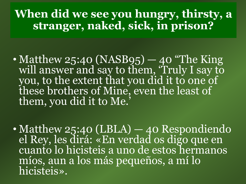#### **When did we see you hungry, thirsty, a stranger, naked, sick, in prison?**

- Matthew 25:40 (NASB95) 40 "The King" will answer and say to them, 'Truly I say to you, to the extent that you did it to one of these brothers of Mine, even the least of them, you did it to Me.'
- Matthew 25:40 (LBLA) 40 Respondiendo el Rey, les dirá: «En verdad os digo que en cuanto lo hicisteis a uno de estos hermanos míos, aun a los más pequeños, a mí lo hicisteis».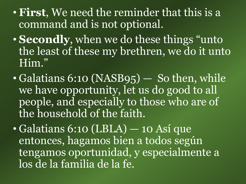- **First**, We need the reminder that this is a command and is not optional.
- **Secondly**, when we do these things "unto the least of these my brethren, we do it unto Him."
- Galatians 6:10 (NASB95) So then, while we have opportunity, let us do good to all people, and especially to those who are of the household of the faith.
- Galatians 6:10 (LBLA) 10 Así que entonces, hagamos bien a todos según tengamos oportunidad, y especialmente a los de la familia de la fe.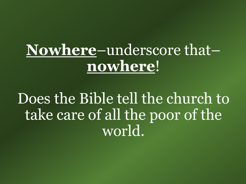### **Nowhere**–underscore that– **nowhere**!

### Does the Bible tell the church to take care of all the poor of the world.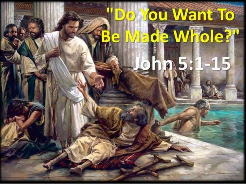## ou Want To **Hoe Whole?** e  $h_1h_25:1-15$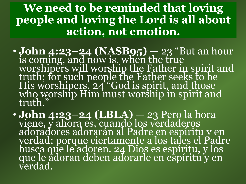#### **We need to be reminded that loving people and loving the Lord is all about action, not emotion.**

- **John 4:23–24 (NASB95)**  23 "But an hour is coming, and now is, when the true worshipers will worship the Father in spirit and truth; for such people the Father seeks to be His worshipers. 24 "God is spirit, and those who worship Him must worship in spirit and truth."
- **John 4:23–24 (LBLA)**  23 Pero la hora viene, y ahora es, cuandó los verdaderos adorádores adorárán al Padre en espíritu y en verdad; porque ciertamente a los tales el Padre busca que le adoren. 24 Dios es espíritu, y los que le adoran deben adorarle en espíritu y en verdad.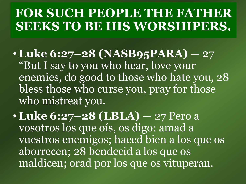#### **FOR SUCH PEOPLE THE FATHER SEEKS TO BE HIS WORSHIPERS.**

- **Luke 6:27–28 (NASB95PARA)**  27 "But I say to you who hear, love your enemies, do good to those who hate you, 28 bless those who curse you, pray for those who mistreat you.
- **Luke 6:27–28 (LBLA)**  27 Pero a vosotros los que oís, os digo: amad a vuestros enemigos; haced bien a los que os aborrecen; 28 bendecid a los que os maldicen; orad por los que os vituperan.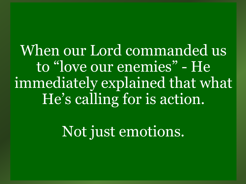When our Lord commanded us to "love our enemies" - He immediately explained that what He's calling for is action.

Not just emotions.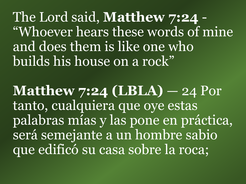The Lord said, **Matthew 7:24** - "Whoever hears these words of mine and does them is like one who builds his house on a rock"

**Matthew 7:24 (LBLA)** — 24 Por tanto, cualquiera que oye estas palabras mías y las pone en práctica, será semejante a un hombre sabio que edificó su casa sobre la roca;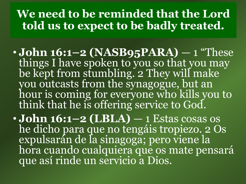#### **We need to be reminded that the Lord told us to expect to be badly treated.**

- **John 16:1–2 (NASB95PARA)**  1 "These things I have spoken to you so that you may be kept from stumbling. 2 They will make you outcasts from the synagogue, but an hour is coming for everyone who kills you to think that he is offering service to God.
- **John 16:1–2 (LBLA)**  1 Estas cosas os he dicho para que no tengáis tropiezo. 2 Os expulsarán de la sinagoga; pero viene la hora cuando cualquiera que os mate pensará que así rinde un servicio a Dios.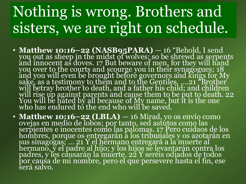### Nothing is wrong. Brothers and sisters, we are right on schedule.

- **Matthew 10:16–22 (NASB95PARA)**  16 "Behold, I send you out as sheep in the midst of wolves; so be shrewd as serpents and innocent as doves. 17 But beware of men, for they will hand you over to the courts and scourge you in their synagogues; 18 and you will even be brought before governors and kings for My sake, as a testimony to them and to the Gentiles. ….21 "Brother will betray brother to death, and a father his child; and children will rise up against parents and cause them to be put to death. 22 You will be hated by all because of My name, but it is the one who has endured to the end who will be saved.
- **Matthew 10:16–22 (LBLA)**  16 Mirad, yo os envío como ovejas en medio de lobos; por tanto, sed astutos como las serpientes e inocentes como las palomas. 17 Pero cuidaos de los hombres, porque os entregarán a los tribunales y os azotarán en sus sinagogas; … 21 Y el hermano entregará a la muerte al hermano, y el padre al hijo; y los hijos se levantarán contra los padres, y lés causarán la muerte. 22 Y seréis odiados de todos por caúsa de mi nombre, pero el que persevere hasta el fin, ese será salvo.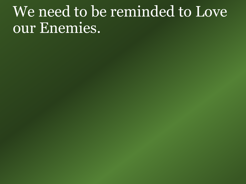### We need to be reminded to Love our Enemies.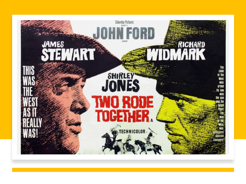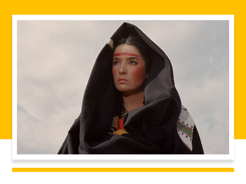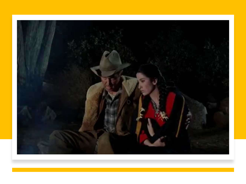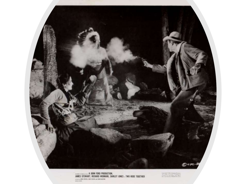

JAMES STEWART, RICHARD PRODUCTION, SHIRLEY JONES - TWO RODE TOGETHER  $\alpha$  corrected (1903) (FOTM), ANDY (1919)<br>C and these modeling implies small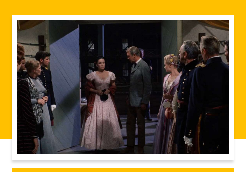